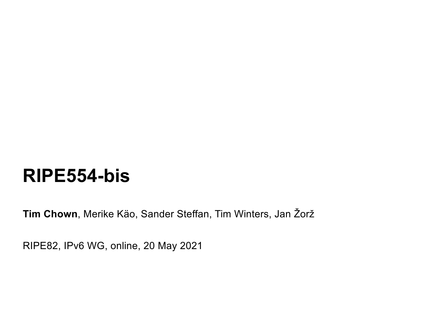# **RIPE554-bis**

**Tim Chown**, Merike Käo, Sander Steffan, Tim Winters, Jan Žorž

RIPE82, IPv6 WG, online, 20 May 2021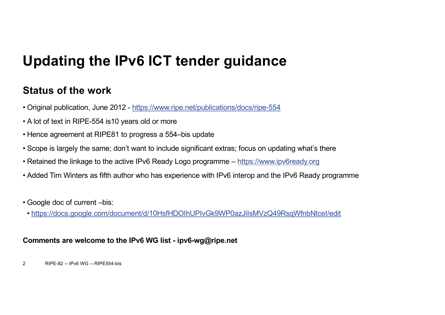## **Updating the IPv6 ICT tender guidance**

#### **Status of the work**

- Original publication, June 2012 [https://www.ripe.net/publications/docs/ripe-55](https://www.ripe.net/publications/docs/ripe-554)4
- A lot of text in RIPE-554 is10 years old or more
- Hence agreement at RIPE81 to progress a 554–bis update
- Scope is largely the same; don't want to include significant extras; focus on updating what's there
- Retained the linkage to the active IPv6 Ready Logo programme [https://www.ipv6ready.or](https://www.ipv6ready.org/)g
- Added Tim Winters as fifth author who has experience with IPv6 interop and the IPv6 Ready programme
- Google doc of current –bis:
- [https://docs.google.com/document/d/10HsfHDOIhUPIvGk9WP0azJiIsMVzQ49RsqWfnbNtceI/ed](https://docs.google.com/document/d/10HsfHDOIhUPIvGk9WP0azJiIsMVzQ49RsqWfnbNtceI/edit)it

#### **Comments are welcome to the IPv6 WG list - ipv6-wg@ripe.net**

2 RIPE-82 -- IPv6 WG -- RIPE554-bis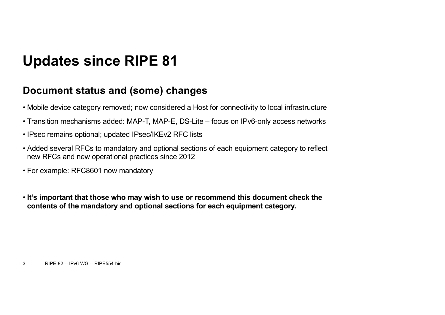## **Updates since RIPE 81**

#### **Document status and (some) changes**

- Mobile device category removed; now considered a Host for connectivity to local infrastructure
- Transition mechanisms added: MAP-T, MAP-E, DS-Lite focus on IPv6-only access networks
- IPsec remains optional; updated IPsec/IKEv2 RFC lists
- Added several RFCs to mandatory and optional sections of each equipment category to reflect new RFCs and new operational practices since 2012
- For example: RFC8601 now mandatory
- **It's important that those who may wish to use or recommend this document check the contents of the mandatory and optional sections for each equipment category.**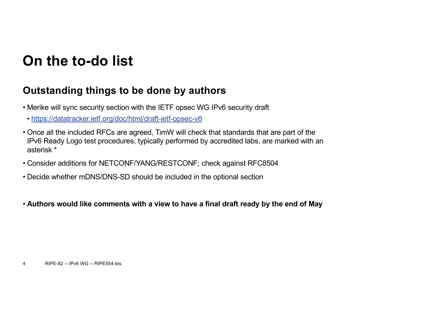### **On the to-do list**

#### **Outstanding things to be done by authors**

- Merike will sync security section with the IETF opsec WG IPv6 security draft
- [https://datatracker.ietf.org/doc/html/draft-ietf-opsec-v](https://datatracker.ietf.org/doc/html/draft-ietf-opsec-v6)6
- Once all the included RFCs are agreed, TimW will check that standards that are part of the IPv6 Ready Logo test procedures, typically performed by accredited labs, are marked with an asterisk \*
- Consider additions for NETCONF/YANG/RESTCONF; check against RFC8504
- Decide whether mDNS/DNS-SD should be included in the optional section
- **Authors would like comments with a view to have a final draft ready by the end of May**